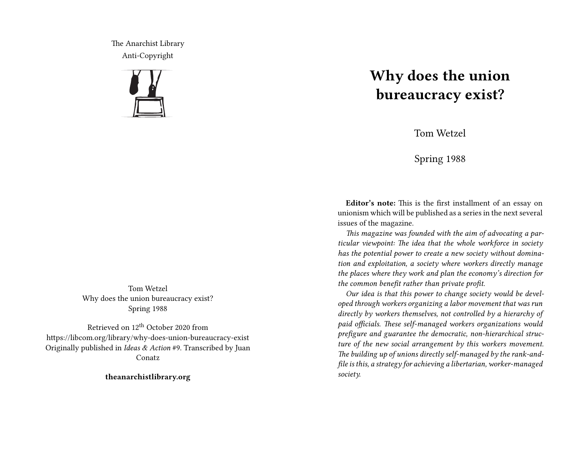The Anarchist Library Anti-Copyright



Tom Wetzel Why does the union bureaucracy exist? Spring 1988

Retrieved on 12th October 2020 from https://libcom.org/library/why-does-union-bureaucracy-exist Originally published in *Ideas & Action* #9. Transcribed by Juan Conatz

**theanarchistlibrary.org**

# **Why does the union bureaucracy exist?**

Tom Wetzel

Spring 1988

**Editor's note:** This is the first installment of an essay on unionism which will be published as a series in the next several issues of the magazine.

*This magazine was founded with the aim of advocating a particular viewpoint: The idea that the whole workforce in society has the potential power to create a new society without domination and exploitation, a society where workers directly manage the places where they work and plan the economy's direction for the common benefit rather than private profit.*

*Our idea is that this power to change society would be developed through workers organizing a labor movement that was run directly by workers themselves, not controlled by a hierarchy of paid officials. These self-managed workers organizations would prefigure and guarantee the democratic, non-hierarchical structure of the new social arrangement by this workers movement. The building up of unions directly self-managed by the rank-andfile is this, a strategy for achieving a libertarian, worker-managed society.*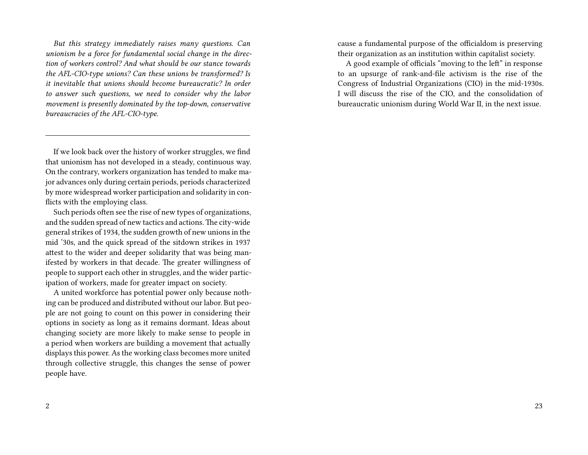*But this strategy immediately raises many questions. Can unionism be a force for fundamental social change in the direction of workers control? And what should be our stance towards the AFL-CIO-type unions? Can these unions be transformed? Is it inevitable that unions should become bureaucratic? In order to answer such questions, we need to consider why the labor movement is presently dominated by the top-down, conservative bureaucracies of the AFL-CIO-type.*

If we look back over the history of worker struggles, we find that unionism has not developed in a steady, continuous way. On the contrary, workers organization has tended to make major advances only during certain periods, periods characterized by more widespread worker participation and solidarity in conflicts with the employing class.

Such periods often see the rise of new types of organizations, and the sudden spread of new tactics and actions. The city-wide general strikes of 1934, the sudden growth of new unions in the mid '30s, and the quick spread of the sitdown strikes in 1937 attest to the wider and deeper solidarity that was being manifested by workers in that decade. The greater willingness of people to support each other in struggles, and the wider participation of workers, made for greater impact on society.

A united workforce has potential power only because nothing can be produced and distributed without our labor. But people are not going to count on this power in considering their options in society as long as it remains dormant. Ideas about changing society are more likely to make sense to people in a period when workers are building a movement that actually displays this power. As the working class becomes more united through collective struggle, this changes the sense of power people have.

cause a fundamental purpose of the officialdom is preserving their organization as an institution within capitalist society.

A good example of officials "moving to the left" in response to an upsurge of rank-and-file activism is the rise of the Congress of Industrial Organizations (CIO) in the mid-1930s. I will discuss the rise of the CIO, and the consolidation of bureaucratic unionism during World War II, in the next issue.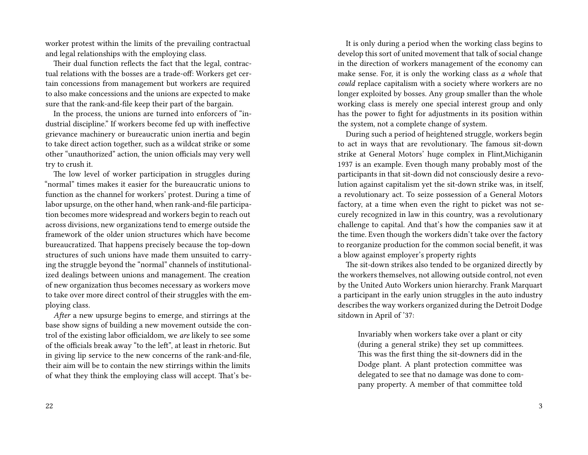worker protest within the limits of the prevailing contractual and legal relationships with the employing class.

Their dual function reflects the fact that the legal, contractual relations with the bosses are a trade-off: Workers get certain concessions from management but workers are required to also make concessions and the unions are expected to make sure that the rank-and-file keep their part of the bargain.

In the process, the unions are turned into enforcers of "industrial discipline." If workers become fed up with ineffective grievance machinery or bureaucratic union inertia and begin to take direct action together, such as a wildcat strike or some other "unauthorized" action, the union officials may very well try to crush it.

The low level of worker participation in struggles during "normal" times makes it easier for the bureaucratic unions to function as the channel for workers' protest. During a time of labor upsurge, on the other hand, when rank-and-file participation becomes more widespread and workers begin to reach out across divisions, new organizations tend to emerge outside the framework of the older union structures which have become bureaucratized. That happens precisely because the top-down structures of such unions have made them unsuited to carrying the struggle beyond the "normal" channels of institutionalized dealings between unions and management. The creation of new organization thus becomes necessary as workers move to take over more direct control of their struggles with the employing class.

*After* a new upsurge begins to emerge, and stirrings at the base show signs of building a new movement outside the control of the existing labor officialdom, we *are* likely to see some of the officials break away "to the left", at least in rhetoric. But in giving lip service to the new concerns of the rank-and-file, their aim will be to contain the new stirrings within the limits of what they think the employing class will accept. That's be-

It is only during a period when the working class begins to develop this sort of united movement that talk of social change in the direction of workers management of the economy can make sense. For, it is only the working class *as a whole* that *could* replace capitalism with a society where workers are no longer exploited by bosses. Any group smaller than the whole working class is merely one special interest group and only has the power to fight for adjustments in its position within the system, not a complete change of system.

During such a period of heightened struggle, workers begin to act in ways that are revolutionary. The famous sit-down strike at General Motors' huge complex in Flint,Michiganin 1937 is an example. Even though many probably most of the participants in that sit-down did not consciously desire a revolution against capitalism yet the sit-down strike was, in itself, a revolutionary act. To seize possession of a General Motors factory, at a time when even the right to picket was not securely recognized in law in this country, was a revolutionary challenge to capital. And that's how the companies saw it at the time. Even though the workers didn't take over the factory to reorganize production for the common social benefit, it was a blow against employer's property rights

The sit-down strikes also tended to be organized directly by the workers themselves, not allowing outside control, not even by the United Auto Workers union hierarchy. Frank Marquart a participant in the early union struggles in the auto industry describes the way workers organized during the Detroit Dodge sitdown in April of '37:

Invariably when workers take over a plant or city (during a general strike) they set up committees. This was the first thing the sit-downers did in the Dodge plant. A plant protection committee was delegated to see that no damage was done to company property. A member of that committee told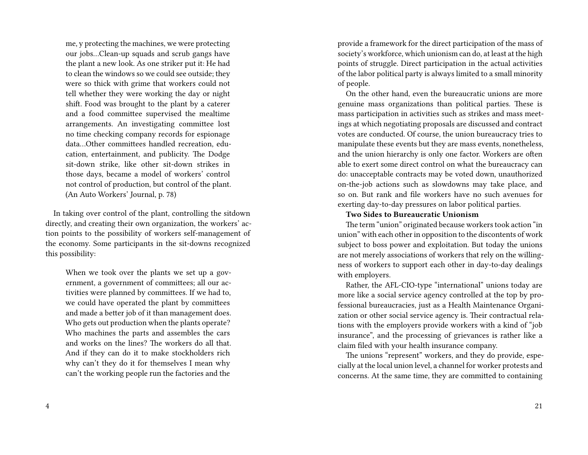me, y protecting the machines, we were protecting our jobs…Clean-up squads and scrub gangs have the plant a new look. As one striker put it: He had to clean the windows so we could see outside; they were so thick with grime that workers could not tell whether they were working the day or night shift. Food was brought to the plant by a caterer and a food committee supervised the mealtime arrangements. An investigating committee lost no time checking company records for espionage data…Other committees handled recreation, education, entertainment, and publicity. The Dodge sit-down strike, like other sit-down strikes in those days, became a model of workers' control not control of production, but control of the plant. (An Auto Workers' Journal, p. 78)

In taking over control of the plant, controlling the sitdown directly, and creating their own organization, the workers' action points to the possibility of workers self-management of the economy. Some participants in the sit-downs recognized this possibility:

When we took over the plants we set up a government, a government of committees; all our activities were planned by committees. If we had to, we could have operated the plant by committees and made a better job of it than management does. Who gets out production when the plants operate? Who machines the parts and assembles the cars and works on the lines? The workers do all that. And if they can do it to make stockholders rich why can't they do it for themselves I mean why can't the working people run the factories and the

provide a framework for the direct participation of the mass of society's workforce, which unionism can do, at least at the high points of struggle. Direct participation in the actual activities of the labor political party is always limited to a small minority of people.

On the other hand, even the bureaucratic unions are more genuine mass organizations than political parties. These is mass participation in activities such as strikes and mass meetings at which negotiating proposals are discussed and contract votes are conducted. Of course, the union bureaucracy tries to manipulate these events but they are mass events, nonetheless, and the union hierarchy is only one factor. Workers are often able to exert some direct control on what the bureaucracy can do: unacceptable contracts may be voted down, unauthorized on-the-job actions such as slowdowns may take place, and so on. But rank and file workers have no such avenues for exerting day-to-day pressures on labor political parties.

#### **Two Sides to Bureaucratic Unionism**

The term "union" originated because workers took action "in union" with each other in opposition to the discontents of work subject to boss power and exploitation. But today the unions are not merely associations of workers that rely on the willingness of workers to support each other in day-to-day dealings with employers.

Rather, the AFL-CIO-type "international" unions today are more like a social service agency controlled at the top by professional bureaucracies, just as a Health Maintenance Organization or other social service agency is. Their contractual relations with the employers provide workers with a kind of "job insurance", and the processing of grievances is rather like a claim filed with your health insurance company.

The unions "represent" workers, and they do provide, especially at the local union level, a channel for worker protests and concerns. At the same time, they are committed to containing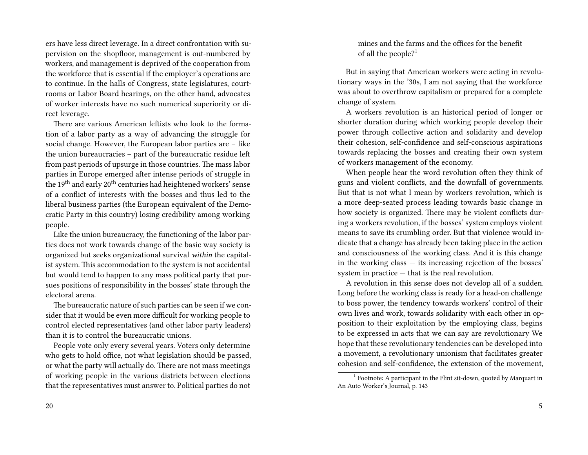ers have less direct leverage. In a direct confrontation with supervision on the shopfloor, management is out-numbered by workers, and management is deprived of the cooperation from the workforce that is essential if the employer's operations are to continue. In the halls of Congress, state legislatures, courtrooms or Labor Board hearings, on the other hand, advocates of worker interests have no such numerical superiority or direct leverage.

There are various American leftists who look to the formation of a labor party as a way of advancing the struggle for social change. However, the European labor parties are – like the union bureaucracies – part of the bureaucratic residue left from past periods of upsurge in those countries. The mass labor parties in Europe emerged after intense periods of struggle in the 19th and early 20th centuries had heightened workers' sense of a conflict of interests with the bosses and thus led to the liberal business parties (the European equivalent of the Democratic Party in this country) losing credibility among working people.

Like the union bureaucracy, the functioning of the labor parties does not work towards change of the basic way society is organized but seeks organizational survival *within* the capitalist system. This accommodation to the system is not accidental but would tend to happen to any mass political party that pursues positions of responsibility in the bosses' state through the electoral arena.

The bureaucratic nature of such parties can be seen if we consider that it would be even more difficult for working people to control elected representatives (and other labor party leaders) than it is to control the bureaucratic unions.

People vote only every several years. Voters only determine who gets to hold office, not what legislation should be passed, or what the party will actually do. There are not mass meetings of working people in the various districts between elections that the representatives must answer to. Political parties do not

mines and the farms and the offices for the benefit of all the people?<sup>1</sup>

But in saying that American workers were acting in revolutionary ways in the '30s, I am not saying that the workforce was about to overthrow capitalism or prepared for a complete change of system.

A workers revolution is an historical period of longer or shorter duration during which working people develop their power through collective action and solidarity and develop their cohesion, self-confidence and self-conscious aspirations towards replacing the bosses and creating their own system of workers management of the economy.

When people hear the word revolution often they think of guns and violent conflicts, and the downfall of governments. But that is not what I mean by workers revolution, which is a more deep-seated process leading towards basic change in how society is organized. There may be violent conflicts during a workers revolution, if the bosses' system employs violent means to save its crumbling order. But that violence would indicate that a change has already been taking place in the action and consciousness of the working class. And it is this change in the working class — its increasing rejection of the bosses' system in practice — that is the real revolution.

A revolution in this sense does not develop all of a sudden. Long before the working class is ready for a head-on challenge to boss power, the tendency towards workers' control of their own lives and work, towards solidarity with each other in opposition to their exploitation by the employing class, begins to be expressed in acts that we can say are revolutionary We hope that these revolutionary tendencies can be developed into a movement, a revolutionary unionism that facilitates greater cohesion and self-confidence, the extension of the movement,

<sup>&</sup>lt;sup>1</sup> Footnote: A participant in the Flint sit-down, quoted by Marquart in An Auto Worker's Journal, p. 143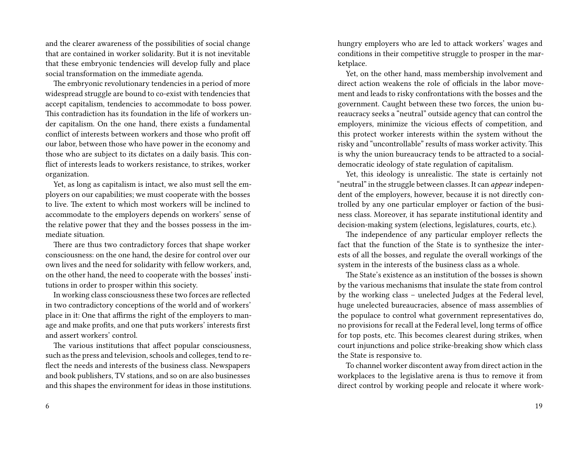and the clearer awareness of the possibilities of social change that are contained in worker solidarity. But it is not inevitable that these embryonic tendencies will develop fully and place social transformation on the immediate agenda.

The embryonic revolutionary tendencies in a period of more widespread struggle are bound to co-exist with tendencies that accept capitalism, tendencies to accommodate to boss power. This contradiction has its foundation in the life of workers under capitalism. On the one hand, there exists a fundamental conflict of interests between workers and those who profit off our labor, between those who have power in the economy and those who are subject to its dictates on a daily basis. This conflict of interests leads to workers resistance, to strikes, worker organization.

Yet, as long as capitalism is intact, we also must sell the employers on our capabilities; we must cooperate with the bosses to live. The extent to which most workers will be inclined to accommodate to the employers depends on workers' sense of the relative power that they and the bosses possess in the immediate situation.

There are thus two contradictory forces that shape worker consciousness: on the one hand, the desire for control over our own lives and the need for solidarity with fellow workers, and, on the other hand, the need to cooperate with the bosses' institutions in order to prosper within this society.

In working class consciousness these two forces are reflected in two contradictory conceptions of the world and of workers' place in it: One that affirms the right of the employers to manage and make profits, and one that puts workers' interests first and assert workers' control.

The various institutions that affect popular consciousness, such as the press and television, schools and colleges, tend to reflect the needs and interests of the business class. Newspapers and book publishers, TV stations, and so on are also businesses and this shapes the environment for ideas in those institutions. hungry employers who are led to attack workers' wages and conditions in their competitive struggle to prosper in the marketplace.

Yet, on the other hand, mass membership involvement and direct action weakens the role of officials in the labor movement and leads to risky confrontations with the bosses and the government. Caught between these two forces, the union bureaucracy seeks a "neutral" outside agency that can control the employers, minimize the vicious effects of competition, and this protect worker interests within the system without the risky and "uncontrollable" results of mass worker activity. This is why the union bureaucracy tends to be attracted to a socialdemocratic ideology of state regulation of capitalism.

Yet, this ideology is unrealistic. The state is certainly not "neutral" in the struggle between classes. It can *appear* independent of the employers, however, because it is not directly controlled by any one particular employer or faction of the business class. Moreover, it has separate institutional identity and decision-making system (elections, legislatures, courts, etc.).

The independence of any particular employer reflects the fact that the function of the State is to synthesize the interests of all the bosses, and regulate the overall workings of the system in the interests of the business class as a whole.

The State's existence as an institution of the bosses is shown by the various mechanisms that insulate the state from control by the working class – unelected Judges at the Federal level, huge unelected bureaucracies, absence of mass assemblies of the populace to control what government representatives do, no provisions for recall at the Federal level, long terms of office for top posts, etc. This becomes clearest during strikes, when court injunctions and police strike-breaking show which class the State is responsive to.

To channel worker discontent away from direct action in the workplaces to the legislative arena is thus to remove it from direct control by working people and relocate it where work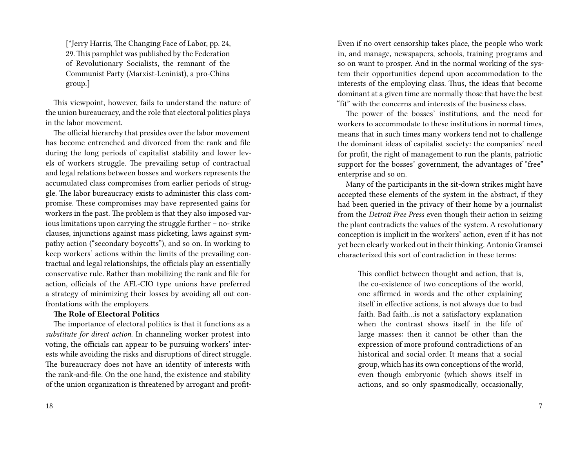[\*Jerry Harris, The Changing Face of Labor, pp. 24, 29. This pamphlet was published by the Federation of Revolutionary Socialists, the remnant of the Communist Party (Marxist-Leninist), a pro-China group.]

This viewpoint, however, fails to understand the nature of the union bureaucracy, and the role that electoral politics plays in the labor movement.

The official hierarchy that presides over the labor movement has become entrenched and divorced from the rank and file during the long periods of capitalist stability and lower levels of workers struggle. The prevailing setup of contractual and legal relations between bosses and workers represents the accumulated class compromises from earlier periods of struggle. The labor bureaucracy exists to administer this class compromise. These compromises may have represented gains for workers in the past. The problem is that they also imposed various limitations upon carrying the struggle further – no- strike clauses, injunctions against mass picketing, laws against sympathy action ("secondary boycotts"), and so on. In working to keep workers' actions within the limits of the prevailing contractual and legal relationships, the officials play an essentially conservative rule. Rather than mobilizing the rank and file for action, officials of the AFL-CIO type unions have preferred a strategy of minimizing their losses by avoiding all out confrontations with the employers.

#### **The Role of Electoral Politics**

The importance of electoral politics is that it functions as a *substitute for direct action*. In channeling worker protest into voting, the officials can appear to be pursuing workers' interests while avoiding the risks and disruptions of direct struggle. The bureaucracy does not have an identity of interests with the rank-and-file. On the one hand, the existence and stability of the union organization is threatened by arrogant and profitEven if no overt censorship takes place, the people who work in, and manage, newspapers, schools, training programs and so on want to prosper. And in the normal working of the system their opportunities depend upon accommodation to the interests of the employing class. Thus, the ideas that become dominant at a given time are normally those that have the best "fit" with the concerns and interests of the business class.

The power of the bosses' institutions, and the need for workers to accommodate to these institutions in normal times, means that in such times many workers tend not to challenge the dominant ideas of capitalist society: the companies' need for profit, the right of management to run the plants, patriotic support for the bosses' government, the advantages of "free" enterprise and so on.

Many of the participants in the sit-down strikes might have accepted these elements of the system in the abstract, if they had been queried in the privacy of their home by a journalist from the *Detroit Free Press* even though their action in seizing the plant contradicts the values of the system. A revolutionary conception is implicit in the workers' action, even if it has not yet been clearly worked out in their thinking. Antonio Gramsci characterized this sort of contradiction in these terms:

This conflict between thought and action, that is, the co-existence of two conceptions of the world, one affirmed in words and the other explaining itself in effective actions, is not always due to bad faith. Bad faith…is not a satisfactory explanation when the contrast shows itself in the life of large masses: then it cannot be other than the expression of more profound contradictions of an historical and social order. It means that a social group, which has its own conceptions of the world, even though embryonic (which shows itself in actions, and so only spasmodically, occasionally,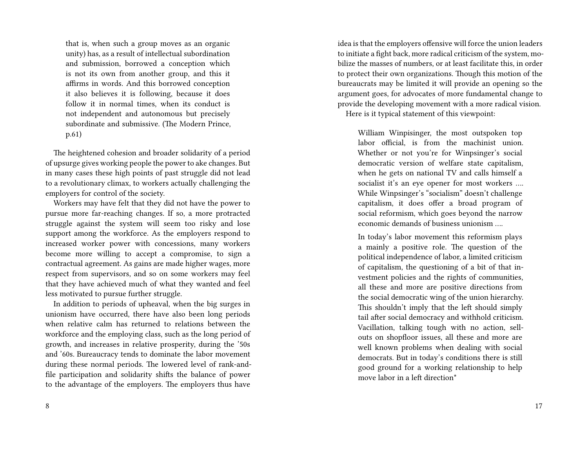that is, when such a group moves as an organic unity) has, as a result of intellectual subordination and submission, borrowed a conception which is not its own from another group, and this it affirms in words. And this borrowed conception it also believes it is following, because it does follow it in normal times, when its conduct is not independent and autonomous but precisely subordinate and submissive. (The Modern Prince, p.61)

The heightened cohesion and broader solidarity of a period of upsurge gives working people the power to ake changes. But in many cases these high points of past struggle did not lead to a revolutionary climax, to workers actually challenging the employers for control of the society.

Workers may have felt that they did not have the power to pursue more far-reaching changes. If so, a more protracted struggle against the system will seem too risky and lose support among the workforce. As the employers respond to increased worker power with concessions, many workers become more willing to accept a compromise, to sign a contractual agreement. As gains are made higher wages, more respect from supervisors, and so on some workers may feel that they have achieved much of what they wanted and feel less motivated to pursue further struggle.

In addition to periods of upheaval, when the big surges in unionism have occurred, there have also been long periods when relative calm has returned to relations between the workforce and the employing class, such as the long period of growth, and increases in relative prosperity, during the '50s and '60s. Bureaucracy tends to dominate the labor movement during these normal periods. The lowered level of rank-andfile participation and solidarity shifts the balance of power to the advantage of the employers. The employers thus have

idea is that the employers offensive will force the union leaders to initiate a fight back, more radical criticism of the system, mobilize the masses of numbers, or at least facilitate this, in order to protect their own organizations. Though this motion of the bureaucrats may be limited it will provide an opening so the argument goes, for advocates of more fundamental change to provide the developing movement with a more radical vision. Here is it typical statement of this viewpoint:

William Winpisinger, the most outspoken top labor official, is from the machinist union. Whether or not you're for Winpsinger's social democratic version of welfare state capitalism, when he gets on national TV and calls himself a socialist it's an eye opener for most workers …. While Winpsinger's "socialism" doesn't challenge capitalism, it does offer a broad program of social reformism, which goes beyond the narrow economic demands of business unionism ….

In today's labor movement this reformism plays a mainly a positive role. The question of the political independence of labor, a limited criticism of capitalism, the questioning of a bit of that investment policies and the rights of communities, all these and more are positive directions from the social democratic wing of the union hierarchy. This shouldn't imply that the left should simply tail after social democracy and withhold criticism. Vacillation, talking tough with no action, sellouts on shopfloor issues, all these and more are well known problems when dealing with social democrats. But in today's conditions there is still good ground for a working relationship to help move labor in a left direction\*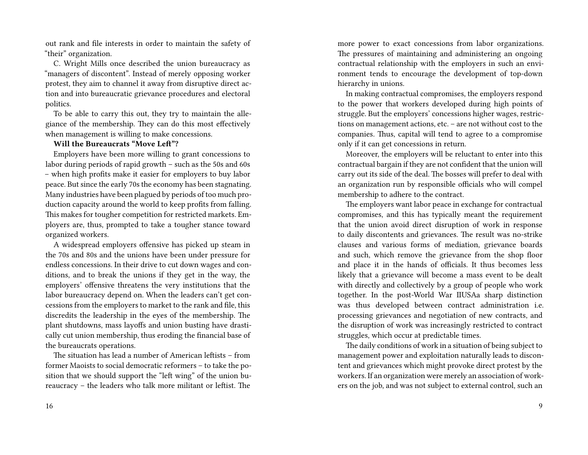out rank and file interests in order to maintain the safety of "their" organization.

C. Wright Mills once described the union bureaucracy as "managers of discontent". Instead of merely opposing worker protest, they aim to channel it away from disruptive direct action and into bureaucratic grievance procedures and electoral politics.

To be able to carry this out, they try to maintain the allegiance of the membership. They can do this most effectively when management is willing to make concessions.

## **Will the Bureaucrats "Move Left"?**

Employers have been more willing to grant concessions to labor during periods of rapid growth – such as the 50s and 60s – when high profits make it easier for employers to buy labor peace. But since the early 70s the economy has been stagnating. Many industries have been plagued by periods of too much production capacity around the world to keep profits from falling. This makes for tougher competition for restricted markets. Employers are, thus, prompted to take a tougher stance toward organized workers.

A widespread employers offensive has picked up steam in the 70s and 80s and the unions have been under pressure for endless concessions. In their drive to cut down wages and conditions, and to break the unions if they get in the way, the employers' offensive threatens the very institutions that the labor bureaucracy depend on. When the leaders can't get concessions from the employers to market to the rank and file, this discredits the leadership in the eyes of the membership. The plant shutdowns, mass layoffs and union busting have drastically cut union membership, thus eroding the financial base of the bureaucrats operations.

The situation has lead a number of American leftists – from former Maoists to social democratic reformers – to take the position that we should support the "left wing" of the union bureaucracy – the leaders who talk more militant or leftist. The

more power to exact concessions from labor organizations. The pressures of maintaining and administering an ongoing contractual relationship with the employers in such an environment tends to encourage the development of top-down hierarchy in unions.

In making contractual compromises, the employers respond to the power that workers developed during high points of struggle. But the employers' concessions higher wages, restrictions on management actions, etc. – are not without cost to the companies. Thus, capital will tend to agree to a compromise only if it can get concessions in return.

Moreover, the employers will be reluctant to enter into this contractual bargain if they are not confident that the union will carry out its side of the deal. The bosses will prefer to deal with an organization run by responsible officials who will compel membership to adhere to the contract.

The employers want labor peace in exchange for contractual compromises, and this has typically meant the requirement that the union avoid direct disruption of work in response to daily discontents and grievances. The result was no-strike clauses and various forms of mediation, grievance boards and such, which remove the grievance from the shop floor and place it in the hands of officials. It thus becomes less likely that a grievance will become a mass event to be dealt with directly and collectively by a group of people who work together. In the post-World War IIUSAa sharp distinction was thus developed between contract administration i.e. processing grievances and negotiation of new contracts, and the disruption of work was increasingly restricted to contract struggles, which occur at predictable times.

The daily conditions of work in a situation of being subject to management power and exploitation naturally leads to discontent and grievances which might provoke direct protest by the workers. If an organization were merely an association of workers on the job, and was not subject to external control, such an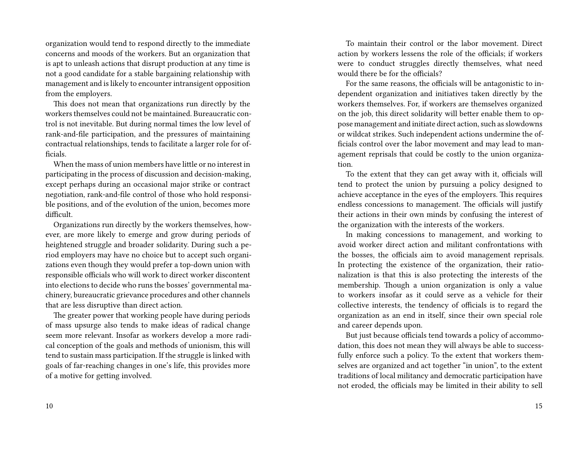organization would tend to respond directly to the immediate concerns and moods of the workers. But an organization that is apt to unleash actions that disrupt production at any time is not a good candidate for a stable bargaining relationship with management and is likely to encounter intransigent opposition from the employers.

This does not mean that organizations run directly by the workers themselves could not be maintained. Bureaucratic control is not inevitable. But during normal times the low level of rank-and-file participation, and the pressures of maintaining contractual relationships, tends to facilitate a larger role for officials.

When the mass of union members have little or no interest in participating in the process of discussion and decision-making, except perhaps during an occasional major strike or contract negotiation, rank-and-file control of those who hold responsible positions, and of the evolution of the union, becomes more difficult.

Organizations run directly by the workers themselves, however, are more likely to emerge and grow during periods of heightened struggle and broader solidarity. During such a period employers may have no choice but to accept such organizations even though they would prefer a top-down union with responsible officials who will work to direct worker discontent into elections to decide who runs the bosses' governmental machinery, bureaucratic grievance procedures and other channels that are less disruptive than direct action.

The greater power that working people have during periods of mass upsurge also tends to make ideas of radical change seem more relevant. Insofar as workers develop a more radical conception of the goals and methods of unionism, this will tend to sustain mass participation. If the struggle is linked with goals of far-reaching changes in one's life, this provides more of a motive for getting involved.

To maintain their control or the labor movement. Direct action by workers lessens the role of the officials; if workers were to conduct struggles directly themselves, what need would there be for the officials?

For the same reasons, the officials will be antagonistic to independent organization and initiatives taken directly by the workers themselves. For, if workers are themselves organized on the job, this direct solidarity will better enable them to oppose management and initiate direct action, such as slowdowns or wildcat strikes. Such independent actions undermine the officials control over the labor movement and may lead to management reprisals that could be costly to the union organization.

To the extent that they can get away with it, officials will tend to protect the union by pursuing a policy designed to achieve acceptance in the eyes of the employers. This requires endless concessions to management. The officials will justify their actions in their own minds by confusing the interest of the organization with the interests of the workers.

In making concessions to management, and working to avoid worker direct action and militant confrontations with the bosses, the officials aim to avoid management reprisals. In protecting the existence of the organization, their rationalization is that this is also protecting the interests of the membership. Though a union organization is only a value to workers insofar as it could serve as a vehicle for their collective interests, the tendency of officials is to regard the organization as an end in itself, since their own special role and career depends upon.

But just because officials tend towards a policy of accommodation, this does not mean they will always be able to successfully enforce such a policy. To the extent that workers themselves are organized and act together "in union", to the extent traditions of local militancy and democratic participation have not eroded, the officials may be limited in their ability to sell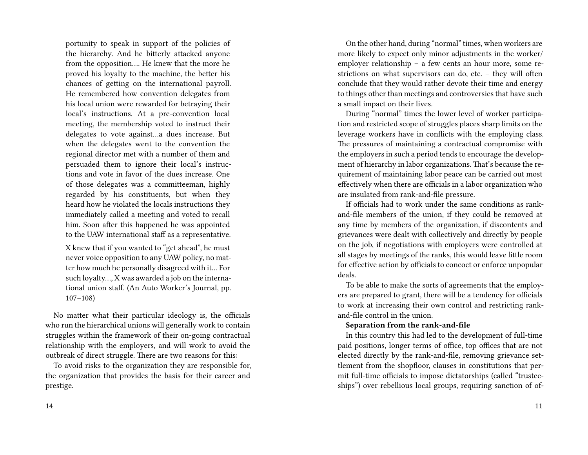portunity to speak in support of the policies of the hierarchy. And he bitterly attacked anyone from the opposition…. He knew that the more he proved his loyalty to the machine, the better his chances of getting on the international payroll. He remembered how convention delegates from his local union were rewarded for betraying their local's instructions. At a pre-convention local meeting, the membership voted to instruct their delegates to vote against…a dues increase. But when the delegates went to the convention the regional director met with a number of them and persuaded them to ignore their local's instructions and vote in favor of the dues increase. One of those delegates was a committeeman, highly regarded by his constituents, but when they heard how he violated the locals instructions they immediately called a meeting and voted to recall him. Soon after this happened he was appointed to the UAW international staff as a representative.

X knew that if you wanted to "get ahead", he must never voice opposition to any UAW policy, no matter how much he personally disagreed with it… For such loyalty…, X was awarded a job on the international union staff. (An Auto Worker's Journal, pp. 107–108)

No matter what their particular ideology is, the officials who run the hierarchical unions will generally work to contain struggles within the framework of their on-going contractual relationship with the employers, and will work to avoid the outbreak of direct struggle. There are two reasons for this:

To avoid risks to the organization they are responsible for, the organization that provides the basis for their career and prestige.

On the other hand, during "normal" times, when workers are more likely to expect only minor adjustments in the worker/ employer relationship – a few cents an hour more, some restrictions on what supervisors can do, etc. – they will often conclude that they would rather devote their time and energy to things other than meetings and controversies that have such a small impact on their lives.

During "normal" times the lower level of worker participation and restricted scope of struggles places sharp limits on the leverage workers have in conflicts with the employing class. The pressures of maintaining a contractual compromise with the employers in such a period tends to encourage the development of hierarchy in labor organizations. That's because the requirement of maintaining labor peace can be carried out most effectively when there are officials in a labor organization who are insulated from rank-and-file pressure.

If officials had to work under the same conditions as rankand-file members of the union, if they could be removed at any time by members of the organization, if discontents and grievances were dealt with collectively and directly by people on the job, if negotiations with employers were controlled at all stages by meetings of the ranks, this would leave little room for effective action by officials to concoct or enforce unpopular deals.

To be able to make the sorts of agreements that the employers are prepared to grant, there will be a tendency for officials to work at increasing their own control and restricting rankand-file control in the union.

### **Separation from the rank-and-file**

In this country this had led to the development of full-time paid positions, longer terms of office, top offices that are not elected directly by the rank-and-file, removing grievance settlement from the shopfloor, clauses in constitutions that permit full-time officials to impose dictatorships (called "trusteeships") over rebellious local groups, requiring sanction of of